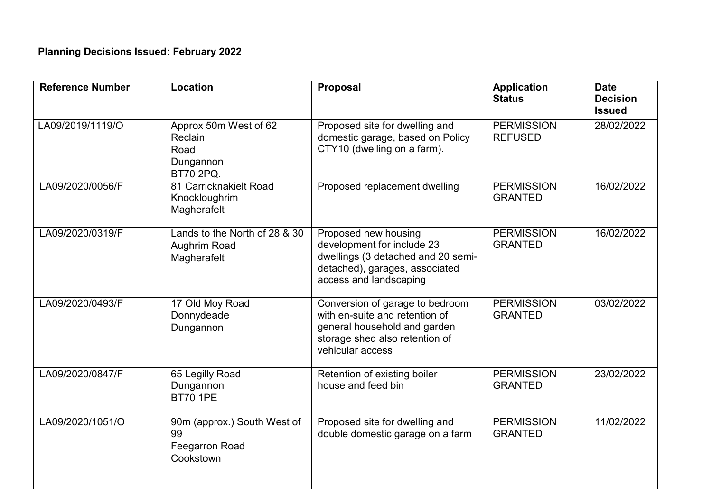| <b>Reference Number</b> | Location                                                                  | Proposal                                                                                                                                                | <b>Application</b><br><b>Status</b> | <b>Date</b><br><b>Decision</b><br><b>Issued</b> |
|-------------------------|---------------------------------------------------------------------------|---------------------------------------------------------------------------------------------------------------------------------------------------------|-------------------------------------|-------------------------------------------------|
| LA09/2019/1119/O        | Approx 50m West of 62<br>Reclain<br>Road<br>Dungannon<br><b>BT70 2PQ.</b> | Proposed site for dwelling and<br>domestic garage, based on Policy<br>CTY10 (dwelling on a farm).                                                       | <b>PERMISSION</b><br><b>REFUSED</b> | 28/02/2022                                      |
| LA09/2020/0056/F        | 81 Carricknakielt Road<br>Knockloughrim<br>Magherafelt                    | Proposed replacement dwelling                                                                                                                           | <b>PERMISSION</b><br><b>GRANTED</b> | 16/02/2022                                      |
| LA09/2020/0319/F        | Lands to the North of 28 & 30<br>Aughrim Road<br>Magherafelt              | Proposed new housing<br>development for include 23<br>dwellings (3 detached and 20 semi-<br>detached), garages, associated<br>access and landscaping    | <b>PERMISSION</b><br><b>GRANTED</b> | 16/02/2022                                      |
| LA09/2020/0493/F        | 17 Old Moy Road<br>Donnydeade<br>Dungannon                                | Conversion of garage to bedroom<br>with en-suite and retention of<br>general household and garden<br>storage shed also retention of<br>vehicular access | <b>PERMISSION</b><br><b>GRANTED</b> | 03/02/2022                                      |
| LA09/2020/0847/F        | 65 Legilly Road<br>Dungannon<br><b>BT70 1PE</b>                           | Retention of existing boiler<br>house and feed bin                                                                                                      | <b>PERMISSION</b><br><b>GRANTED</b> | 23/02/2022                                      |
| LA09/2020/1051/O        | 90m (approx.) South West of<br>99<br>Feegarron Road<br>Cookstown          | Proposed site for dwelling and<br>double domestic garage on a farm                                                                                      | <b>PERMISSION</b><br><b>GRANTED</b> | 11/02/2022                                      |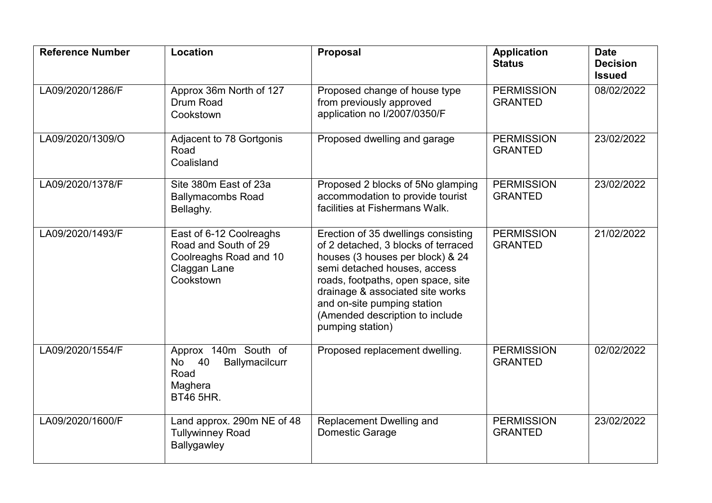| <b>Reference Number</b> | Location                                                                                               | Proposal                                                                                                                                                                                                                                                                                                       | <b>Application</b><br><b>Status</b> | <b>Date</b><br><b>Decision</b><br><b>Issued</b> |
|-------------------------|--------------------------------------------------------------------------------------------------------|----------------------------------------------------------------------------------------------------------------------------------------------------------------------------------------------------------------------------------------------------------------------------------------------------------------|-------------------------------------|-------------------------------------------------|
| LA09/2020/1286/F        | Approx 36m North of 127<br>Drum Road<br>Cookstown                                                      | Proposed change of house type<br>from previously approved<br>application no I/2007/0350/F                                                                                                                                                                                                                      | <b>PERMISSION</b><br><b>GRANTED</b> | 08/02/2022                                      |
| LA09/2020/1309/O        | Adjacent to 78 Gortgonis<br>Road<br>Coalisland                                                         | Proposed dwelling and garage                                                                                                                                                                                                                                                                                   | <b>PERMISSION</b><br><b>GRANTED</b> | 23/02/2022                                      |
| LA09/2020/1378/F        | Site 380m East of 23a<br><b>Ballymacombs Road</b><br>Bellaghy.                                         | Proposed 2 blocks of 5No glamping<br>accommodation to provide tourist<br>facilities at Fishermans Walk.                                                                                                                                                                                                        | <b>PERMISSION</b><br><b>GRANTED</b> | 23/02/2022                                      |
| LA09/2020/1493/F        | East of 6-12 Coolreaghs<br>Road and South of 29<br>Coolreaghs Road and 10<br>Claggan Lane<br>Cookstown | Erection of 35 dwellings consisting<br>of 2 detached, 3 blocks of terraced<br>houses (3 houses per block) & 24<br>semi detached houses, access<br>roads, footpaths, open space, site<br>drainage & associated site works<br>and on-site pumping station<br>(Amended description to include<br>pumping station) | <b>PERMISSION</b><br><b>GRANTED</b> | 21/02/2022                                      |
| LA09/2020/1554/F        | Approx 140m South of<br>Ballymacilcurr<br>No 40<br>Road<br>Maghera<br><b>BT46 5HR.</b>                 | Proposed replacement dwelling.                                                                                                                                                                                                                                                                                 | <b>PERMISSION</b><br><b>GRANTED</b> | 02/02/2022                                      |
| LA09/2020/1600/F        | Land approx. 290m NE of 48<br><b>Tullywinney Road</b><br>Ballygawley                                   | Replacement Dwelling and<br><b>Domestic Garage</b>                                                                                                                                                                                                                                                             | <b>PERMISSION</b><br><b>GRANTED</b> | 23/02/2022                                      |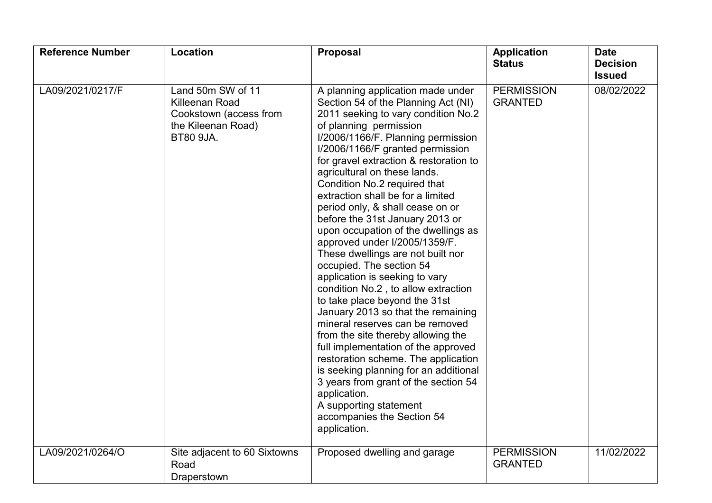| <b>Reference Number</b> | <b>Location</b>                                                                                                | <b>Proposal</b>                                                                                                                                                                                                                                                                                                                                                                                                                                                                                                                                                                                                                                                                                                                                                                                                                                                                                                                                                                                                                                                    | <b>Application</b><br><b>Status</b> | <b>Date</b><br><b>Decision</b><br><b>Issued</b> |
|-------------------------|----------------------------------------------------------------------------------------------------------------|--------------------------------------------------------------------------------------------------------------------------------------------------------------------------------------------------------------------------------------------------------------------------------------------------------------------------------------------------------------------------------------------------------------------------------------------------------------------------------------------------------------------------------------------------------------------------------------------------------------------------------------------------------------------------------------------------------------------------------------------------------------------------------------------------------------------------------------------------------------------------------------------------------------------------------------------------------------------------------------------------------------------------------------------------------------------|-------------------------------------|-------------------------------------------------|
| LA09/2021/0217/F        | Land 50m SW of 11<br><b>Killeenan Road</b><br>Cookstown (access from<br>the Kileenan Road)<br><b>BT80 9JA.</b> | A planning application made under<br>Section 54 of the Planning Act (NI)<br>2011 seeking to vary condition No.2<br>of planning permission<br>I/2006/1166/F. Planning permission<br>I/2006/1166/F granted permission<br>for gravel extraction & restoration to<br>agricultural on these lands.<br>Condition No.2 required that<br>extraction shall be for a limited<br>period only, & shall cease on or<br>before the 31st January 2013 or<br>upon occupation of the dwellings as<br>approved under I/2005/1359/F.<br>These dwellings are not built nor<br>occupied. The section 54<br>application is seeking to vary<br>condition No.2, to allow extraction<br>to take place beyond the 31st<br>January 2013 so that the remaining<br>mineral reserves can be removed<br>from the site thereby allowing the<br>full implementation of the approved<br>restoration scheme. The application<br>is seeking planning for an additional<br>3 years from grant of the section 54<br>application.<br>A supporting statement<br>accompanies the Section 54<br>application. | <b>PERMISSION</b><br><b>GRANTED</b> | 08/02/2022                                      |
| LA09/2021/0264/O        | Site adjacent to 60 Sixtowns<br>Road<br>Draperstown                                                            | Proposed dwelling and garage                                                                                                                                                                                                                                                                                                                                                                                                                                                                                                                                                                                                                                                                                                                                                                                                                                                                                                                                                                                                                                       | <b>PERMISSION</b><br><b>GRANTED</b> | 11/02/2022                                      |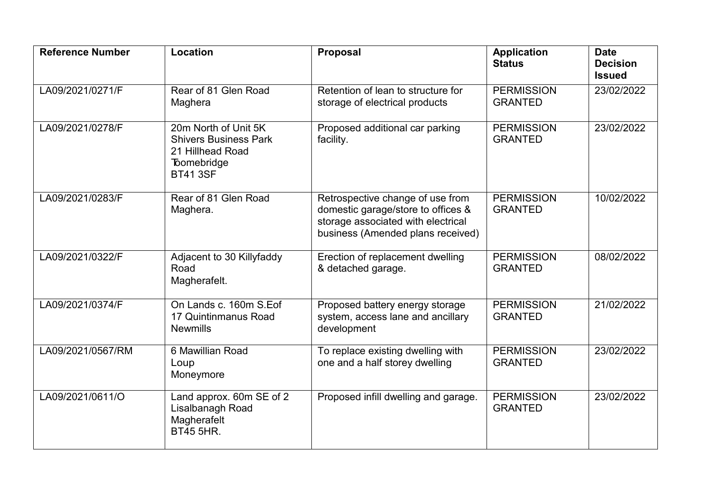| <b>Reference Number</b> | Location                                                                                                   | <b>Proposal</b>                                                                                                                                   | <b>Application</b><br><b>Status</b> | <b>Date</b><br><b>Decision</b><br><b>Issued</b> |
|-------------------------|------------------------------------------------------------------------------------------------------------|---------------------------------------------------------------------------------------------------------------------------------------------------|-------------------------------------|-------------------------------------------------|
| LA09/2021/0271/F        | Rear of 81 Glen Road<br>Maghera                                                                            | Retention of lean to structure for<br>storage of electrical products                                                                              | <b>PERMISSION</b><br><b>GRANTED</b> | 23/02/2022                                      |
| LA09/2021/0278/F        | 20m North of Unit 5K<br><b>Shivers Business Park</b><br>21 Hillhead Road<br>Toomebridge<br><b>BT41 3SF</b> | Proposed additional car parking<br>facility.                                                                                                      | <b>PERMISSION</b><br><b>GRANTED</b> | 23/02/2022                                      |
| LA09/2021/0283/F        | Rear of 81 Glen Road<br>Maghera.                                                                           | Retrospective change of use from<br>domestic garage/store to offices &<br>storage associated with electrical<br>business (Amended plans received) | <b>PERMISSION</b><br><b>GRANTED</b> | 10/02/2022                                      |
| LA09/2021/0322/F        | Adjacent to 30 Killyfaddy<br>Road<br>Magherafelt.                                                          | Erection of replacement dwelling<br>& detached garage.                                                                                            | <b>PERMISSION</b><br><b>GRANTED</b> | 08/02/2022                                      |
| LA09/2021/0374/F        | On Lands c. 160m S.Eof<br>17 Quintinmanus Road<br><b>Newmills</b>                                          | Proposed battery energy storage<br>system, access lane and ancillary<br>development                                                               | <b>PERMISSION</b><br><b>GRANTED</b> | 21/02/2022                                      |
| LA09/2021/0567/RM       | 6 Mawillian Road<br>Loup<br>Moneymore                                                                      | To replace existing dwelling with<br>one and a half storey dwelling                                                                               | <b>PERMISSION</b><br><b>GRANTED</b> | 23/02/2022                                      |
| LA09/2021/0611/O        | Land approx. 60m SE of 2<br>Lisalbanagh Road<br>Magherafelt<br><b>BT45 5HR.</b>                            | Proposed infill dwelling and garage.                                                                                                              | <b>PERMISSION</b><br><b>GRANTED</b> | 23/02/2022                                      |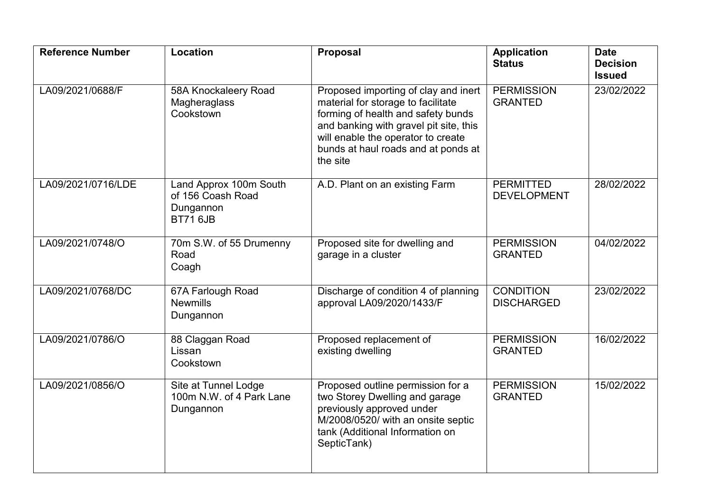| <b>Reference Number</b> | Location                                                                    | Proposal                                                                                                                                                                                                                                            | <b>Application</b><br><b>Status</b>    | <b>Date</b><br><b>Decision</b><br><b>Issued</b> |
|-------------------------|-----------------------------------------------------------------------------|-----------------------------------------------------------------------------------------------------------------------------------------------------------------------------------------------------------------------------------------------------|----------------------------------------|-------------------------------------------------|
| LA09/2021/0688/F        | 58A Knockaleery Road<br>Magheraglass<br>Cookstown                           | Proposed importing of clay and inert<br>material for storage to facilitate<br>forming of health and safety bunds<br>and banking with gravel pit site, this<br>will enable the operator to create<br>bunds at haul roads and at ponds at<br>the site | <b>PERMISSION</b><br><b>GRANTED</b>    | 23/02/2022                                      |
| LA09/2021/0716/LDE      | Land Approx 100m South<br>of 156 Coash Road<br>Dungannon<br><b>BT71 6JB</b> | A.D. Plant on an existing Farm                                                                                                                                                                                                                      | <b>PERMITTED</b><br><b>DEVELOPMENT</b> | 28/02/2022                                      |
| LA09/2021/0748/O        | 70m S.W. of 55 Drumenny<br>Road<br>Coagh                                    | Proposed site for dwelling and<br>garage in a cluster                                                                                                                                                                                               | <b>PERMISSION</b><br><b>GRANTED</b>    | 04/02/2022                                      |
| LA09/2021/0768/DC       | 67A Farlough Road<br><b>Newmills</b><br>Dungannon                           | Discharge of condition 4 of planning<br>approval LA09/2020/1433/F                                                                                                                                                                                   | <b>CONDITION</b><br><b>DISCHARGED</b>  | 23/02/2022                                      |
| LA09/2021/0786/O        | 88 Claggan Road<br>Lissan<br>Cookstown                                      | Proposed replacement of<br>existing dwelling                                                                                                                                                                                                        | <b>PERMISSION</b><br><b>GRANTED</b>    | 16/02/2022                                      |
| LA09/2021/0856/O        | Site at Tunnel Lodge<br>100m N.W. of 4 Park Lane<br>Dungannon               | Proposed outline permission for a<br>two Storey Dwelling and garage<br>previously approved under<br>M/2008/0520/ with an onsite septic<br>tank (Additional Information on<br>SepticTank)                                                            | <b>PERMISSION</b><br><b>GRANTED</b>    | 15/02/2022                                      |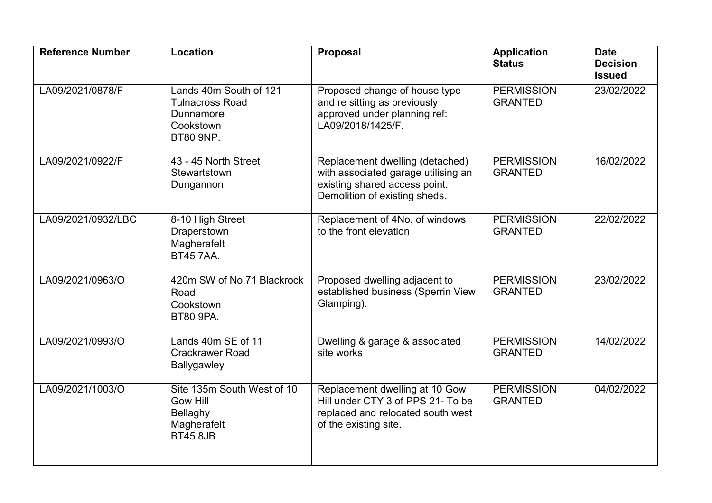| <b>Reference Number</b> | <b>Location</b>                                                                                | <b>Proposal</b>                                                                                                                          | <b>Application</b><br><b>Status</b> | <b>Date</b><br><b>Decision</b><br><b>Issued</b> |
|-------------------------|------------------------------------------------------------------------------------------------|------------------------------------------------------------------------------------------------------------------------------------------|-------------------------------------|-------------------------------------------------|
| LA09/2021/0878/F        | Lands 40m South of 121<br><b>Tulnacross Road</b><br>Dunnamore<br>Cookstown<br><b>BT80 9NP.</b> | Proposed change of house type<br>and re sitting as previously<br>approved under planning ref:<br>LA09/2018/1425/F.                       | <b>PERMISSION</b><br><b>GRANTED</b> | 23/02/2022                                      |
| LA09/2021/0922/F        | 43 - 45 North Street<br>Stewartstown<br>Dungannon                                              | Replacement dwelling (detached)<br>with associated garage utilising an<br>existing shared access point.<br>Demolition of existing sheds. | <b>PERMISSION</b><br><b>GRANTED</b> | 16/02/2022                                      |
| LA09/2021/0932/LBC      | 8-10 High Street<br>Draperstown<br>Magherafelt<br><b>BT45 7AA.</b>                             | Replacement of 4No. of windows<br>to the front elevation                                                                                 | <b>PERMISSION</b><br><b>GRANTED</b> | 22/02/2022                                      |
| LA09/2021/0963/O        | 420m SW of No.71 Blackrock<br>Road<br>Cookstown<br><b>BT80 9PA.</b>                            | Proposed dwelling adjacent to<br>established business (Sperrin View<br>Glamping).                                                        | <b>PERMISSION</b><br><b>GRANTED</b> | 23/02/2022                                      |
| LA09/2021/0993/O        | Lands 40m SE of 11<br><b>Crackrawer Road</b><br>Ballygawley                                    | Dwelling & garage & associated<br>site works                                                                                             | <b>PERMISSION</b><br><b>GRANTED</b> | 14/02/2022                                      |
| LA09/2021/1003/O        | Site 135m South West of 10<br><b>Gow Hill</b><br>Bellaghy<br>Magherafelt<br><b>BT45 8JB</b>    | Replacement dwelling at 10 Gow<br>Hill under CTY 3 of PPS 21- To be<br>replaced and relocated south west<br>of the existing site.        | <b>PERMISSION</b><br><b>GRANTED</b> | 04/02/2022                                      |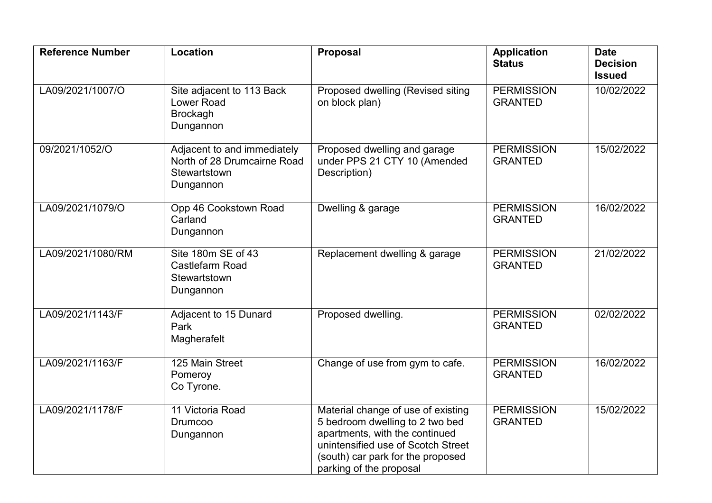| <b>Reference Number</b> | Location                                                                                | <b>Proposal</b>                                                                                                                                                                                               | <b>Application</b><br><b>Status</b> | <b>Date</b><br><b>Decision</b><br><b>Issued</b> |
|-------------------------|-----------------------------------------------------------------------------------------|---------------------------------------------------------------------------------------------------------------------------------------------------------------------------------------------------------------|-------------------------------------|-------------------------------------------------|
| LA09/2021/1007/O        | Site adjacent to 113 Back<br><b>Lower Road</b><br><b>Brockagh</b><br>Dungannon          | Proposed dwelling (Revised siting<br>on block plan)                                                                                                                                                           | <b>PERMISSION</b><br><b>GRANTED</b> | 10/02/2022                                      |
| 09/2021/1052/O          | Adjacent to and immediately<br>North of 28 Drumcairne Road<br>Stewartstown<br>Dungannon | Proposed dwelling and garage<br>under PPS 21 CTY 10 (Amended<br>Description)                                                                                                                                  | <b>PERMISSION</b><br><b>GRANTED</b> | 15/02/2022                                      |
| LA09/2021/1079/O        | Opp 46 Cookstown Road<br>Carland<br>Dungannon                                           | Dwelling & garage                                                                                                                                                                                             | <b>PERMISSION</b><br><b>GRANTED</b> | 16/02/2022                                      |
| LA09/2021/1080/RM       | Site 180m SE of 43<br>Castlefarm Road<br>Stewartstown<br>Dungannon                      | Replacement dwelling & garage                                                                                                                                                                                 | <b>PERMISSION</b><br><b>GRANTED</b> | 21/02/2022                                      |
| LA09/2021/1143/F        | Adjacent to 15 Dunard<br>Park<br>Magherafelt                                            | Proposed dwelling.                                                                                                                                                                                            | <b>PERMISSION</b><br><b>GRANTED</b> | 02/02/2022                                      |
| LA09/2021/1163/F        | 125 Main Street<br>Pomeroy<br>Co Tyrone.                                                | Change of use from gym to cafe.                                                                                                                                                                               | <b>PERMISSION</b><br><b>GRANTED</b> | 16/02/2022                                      |
| LA09/2021/1178/F        | 11 Victoria Road<br><b>Drumcoo</b><br>Dungannon                                         | Material change of use of existing<br>5 bedroom dwelling to 2 two bed<br>apartments, with the continued<br>unintensified use of Scotch Street<br>(south) car park for the proposed<br>parking of the proposal | <b>PERMISSION</b><br><b>GRANTED</b> | 15/02/2022                                      |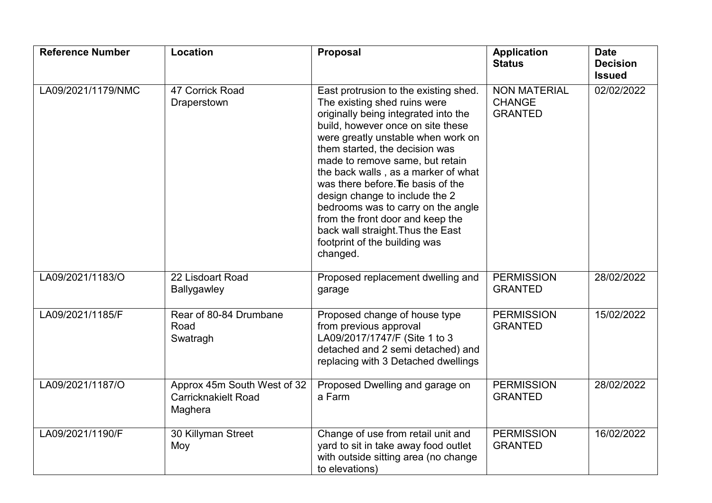| <b>Reference Number</b> | Location                                                             | <b>Proposal</b>                                                                                                                                                                                                                                                                                                                                                                                                                                                                                                                          | <b>Application</b><br><b>Status</b>                    | <b>Date</b><br><b>Decision</b><br><b>Issued</b> |
|-------------------------|----------------------------------------------------------------------|------------------------------------------------------------------------------------------------------------------------------------------------------------------------------------------------------------------------------------------------------------------------------------------------------------------------------------------------------------------------------------------------------------------------------------------------------------------------------------------------------------------------------------------|--------------------------------------------------------|-------------------------------------------------|
| LA09/2021/1179/NMC      | 47 Corrick Road<br>Draperstown                                       | East protrusion to the existing shed.<br>The existing shed ruins were<br>originally being integrated into the<br>build, however once on site these<br>were greatly unstable when work on<br>them started, the decision was<br>made to remove same, but retain<br>the back walls, as a marker of what<br>was there before. The basis of the<br>design change to include the 2<br>bedrooms was to carry on the angle<br>from the front door and keep the<br>back wall straight. Thus the East<br>footprint of the building was<br>changed. | <b>NON MATERIAL</b><br><b>CHANGE</b><br><b>GRANTED</b> | 02/02/2022                                      |
| LA09/2021/1183/O        | 22 Lisdoart Road<br>Ballygawley                                      | Proposed replacement dwelling and<br>garage                                                                                                                                                                                                                                                                                                                                                                                                                                                                                              | <b>PERMISSION</b><br><b>GRANTED</b>                    | 28/02/2022                                      |
| LA09/2021/1185/F        | Rear of 80-84 Drumbane<br>Road<br>Swatragh                           | Proposed change of house type<br>from previous approval<br>LA09/2017/1747/F (Site 1 to 3<br>detached and 2 semi detached) and<br>replacing with 3 Detached dwellings                                                                                                                                                                                                                                                                                                                                                                     | <b>PERMISSION</b><br><b>GRANTED</b>                    | 15/02/2022                                      |
| LA09/2021/1187/O        | Approx 45m South West of 32<br><b>Carricknakielt Road</b><br>Maghera | Proposed Dwelling and garage on<br>a Farm                                                                                                                                                                                                                                                                                                                                                                                                                                                                                                | <b>PERMISSION</b><br><b>GRANTED</b>                    | 28/02/2022                                      |
| LA09/2021/1190/F        | 30 Killyman Street<br>Moy                                            | Change of use from retail unit and<br>yard to sit in take away food outlet<br>with outside sitting area (no change<br>to elevations)                                                                                                                                                                                                                                                                                                                                                                                                     | <b>PERMISSION</b><br><b>GRANTED</b>                    | 16/02/2022                                      |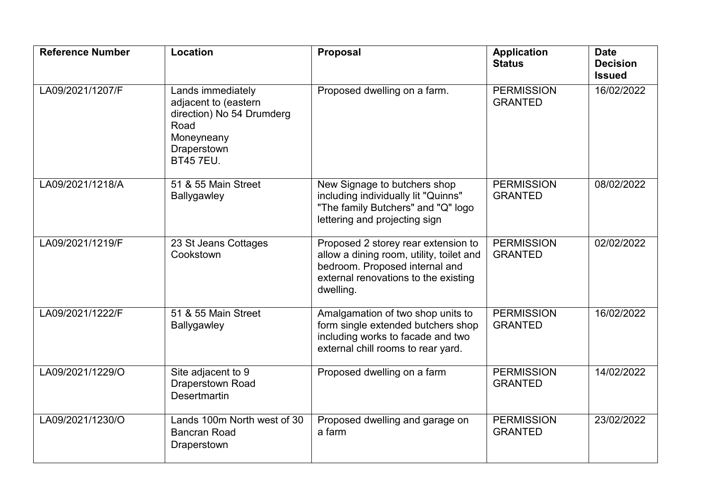| <b>Reference Number</b> | Location                                                                                                                        | <b>Proposal</b>                                                                                                                                                        | <b>Application</b><br><b>Status</b> | <b>Date</b><br><b>Decision</b><br><b>Issued</b> |
|-------------------------|---------------------------------------------------------------------------------------------------------------------------------|------------------------------------------------------------------------------------------------------------------------------------------------------------------------|-------------------------------------|-------------------------------------------------|
| LA09/2021/1207/F        | Lands immediately<br>adjacent to (eastern<br>direction) No 54 Drumderg<br>Road<br>Moneyneany<br>Draperstown<br><b>BT45 7EU.</b> | Proposed dwelling on a farm.                                                                                                                                           | <b>PERMISSION</b><br><b>GRANTED</b> | 16/02/2022                                      |
| LA09/2021/1218/A        | 51 & 55 Main Street<br>Ballygawley                                                                                              | New Signage to butchers shop<br>including individually lit "Quinns"<br>"The family Butchers" and "Q" logo<br>lettering and projecting sign                             | <b>PERMISSION</b><br><b>GRANTED</b> | 08/02/2022                                      |
| LA09/2021/1219/F        | 23 St Jeans Cottages<br>Cookstown                                                                                               | Proposed 2 storey rear extension to<br>allow a dining room, utility, toilet and<br>bedroom. Proposed internal and<br>external renovations to the existing<br>dwelling. | <b>PERMISSION</b><br><b>GRANTED</b> | 02/02/2022                                      |
| LA09/2021/1222/F        | 51 & 55 Main Street<br><b>Ballygawley</b>                                                                                       | Amalgamation of two shop units to<br>form single extended butchers shop<br>including works to facade and two<br>external chill rooms to rear yard.                     | <b>PERMISSION</b><br><b>GRANTED</b> | 16/02/2022                                      |
| LA09/2021/1229/O        | Site adjacent to 9<br><b>Draperstown Road</b><br><b>Desertmartin</b>                                                            | Proposed dwelling on a farm                                                                                                                                            | <b>PERMISSION</b><br><b>GRANTED</b> | 14/02/2022                                      |
| LA09/2021/1230/O        | Lands 100m North west of 30<br><b>Bancran Road</b><br>Draperstown                                                               | Proposed dwelling and garage on<br>a farm                                                                                                                              | <b>PERMISSION</b><br><b>GRANTED</b> | 23/02/2022                                      |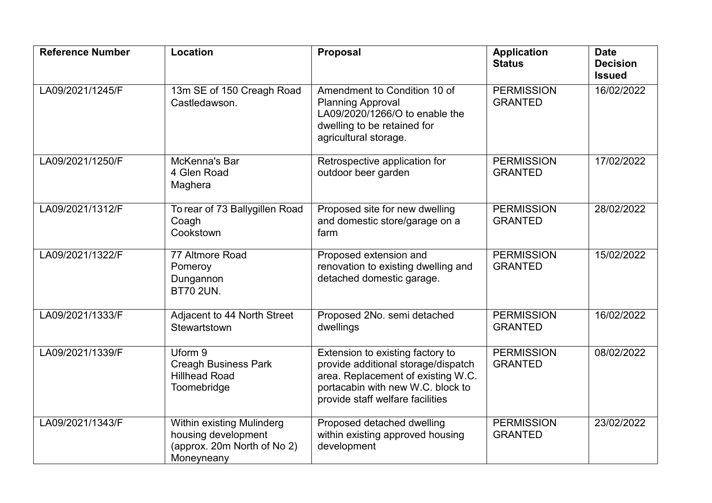| <b>Reference Number</b> | <b>Location</b>                                                                               | <b>Proposal</b>                                                                                                                                                                        | <b>Application</b><br><b>Status</b> | <b>Date</b><br><b>Decision</b><br><b>Issued</b> |
|-------------------------|-----------------------------------------------------------------------------------------------|----------------------------------------------------------------------------------------------------------------------------------------------------------------------------------------|-------------------------------------|-------------------------------------------------|
| LA09/2021/1245/F        | 13m SE of 150 Creagh Road<br>Castledawson.                                                    | Amendment to Condition 10 of<br><b>Planning Approval</b><br>LA09/2020/1266/O to enable the<br>dwelling to be retained for<br>agricultural storage.                                     | <b>PERMISSION</b><br><b>GRANTED</b> | 16/02/2022                                      |
| LA09/2021/1250/F        | McKenna's Bar<br>4 Glen Road<br>Maghera                                                       | Retrospective application for<br>outdoor beer garden                                                                                                                                   | <b>PERMISSION</b><br><b>GRANTED</b> | 17/02/2022                                      |
| LA09/2021/1312/F        | To rear of 73 Ballygillen Road<br>Coagh<br>Cookstown                                          | Proposed site for new dwelling<br>and domestic store/garage on a<br>farm                                                                                                               | <b>PERMISSION</b><br><b>GRANTED</b> | 28/02/2022                                      |
| LA09/2021/1322/F        | 77 Altmore Road<br>Pomeroy<br>Dungannon<br><b>BT70 2UN.</b>                                   | Proposed extension and<br>renovation to existing dwelling and<br>detached domestic garage.                                                                                             | <b>PERMISSION</b><br><b>GRANTED</b> | 15/02/2022                                      |
| LA09/2021/1333/F        | Adjacent to 44 North Street<br>Stewartstown                                                   | Proposed 2No. semi detached<br>dwellings                                                                                                                                               | <b>PERMISSION</b><br><b>GRANTED</b> | 16/02/2022                                      |
| LA09/2021/1339/F        | Uform 9<br><b>Creagh Business Park</b><br><b>Hillhead Road</b><br>Toomebridge                 | Extension to existing factory to<br>provide additional storage/dispatch<br>area. Replacement of existing W.C.<br>portacabin with new W.C. block to<br>provide staff welfare facilities | <b>PERMISSION</b><br><b>GRANTED</b> | 08/02/2022                                      |
| LA09/2021/1343/F        | Within existing Mulinderg<br>housing development<br>(approx. 20m North of No 2)<br>Moneyneany | Proposed detached dwelling<br>within existing approved housing<br>development                                                                                                          | <b>PERMISSION</b><br><b>GRANTED</b> | 23/02/2022                                      |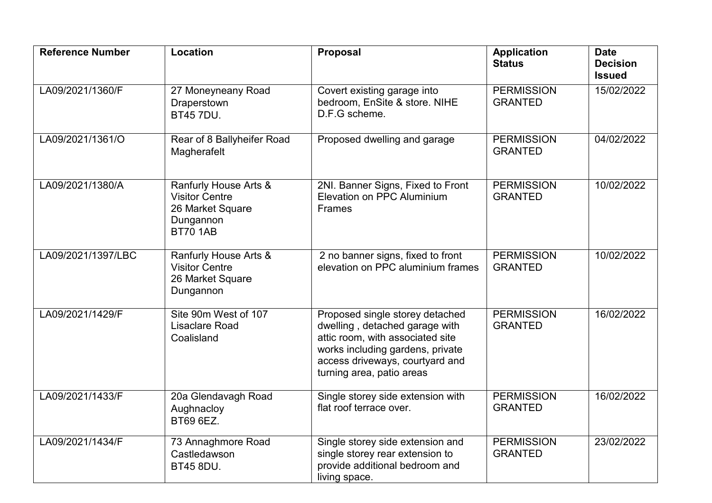| <b>Reference Number</b> | Location                                                                                           | <b>Proposal</b>                                                                                                                                                                                           | <b>Application</b><br><b>Status</b> | <b>Date</b><br><b>Decision</b><br><b>Issued</b> |
|-------------------------|----------------------------------------------------------------------------------------------------|-----------------------------------------------------------------------------------------------------------------------------------------------------------------------------------------------------------|-------------------------------------|-------------------------------------------------|
| LA09/2021/1360/F        | 27 Moneyneany Road<br>Draperstown<br><b>BT45 7DU.</b>                                              | Covert existing garage into<br>bedroom, EnSite & store. NIHE<br>D.F.G scheme.                                                                                                                             | <b>PERMISSION</b><br><b>GRANTED</b> | 15/02/2022                                      |
| LA09/2021/1361/O        | Rear of 8 Ballyheifer Road<br>Magherafelt                                                          | Proposed dwelling and garage                                                                                                                                                                              | <b>PERMISSION</b><br><b>GRANTED</b> | 04/02/2022                                      |
| LA09/2021/1380/A        | Ranfurly House Arts &<br><b>Visitor Centre</b><br>26 Market Square<br>Dungannon<br><b>BT70 1AB</b> | 2NI. Banner Signs, Fixed to Front<br>Elevation on PPC Aluminium<br><b>Frames</b>                                                                                                                          | <b>PERMISSION</b><br><b>GRANTED</b> | 10/02/2022                                      |
| LA09/2021/1397/LBC      | Ranfurly House Arts &<br><b>Visitor Centre</b><br>26 Market Square<br>Dungannon                    | 2 no banner signs, fixed to front<br>elevation on PPC aluminium frames                                                                                                                                    | <b>PERMISSION</b><br><b>GRANTED</b> | 10/02/2022                                      |
| LA09/2021/1429/F        | Site 90m West of 107<br><b>Lisaclare Road</b><br>Coalisland                                        | Proposed single storey detached<br>dwelling, detached garage with<br>attic room, with associated site<br>works including gardens, private<br>access driveways, courtyard and<br>turning area, patio areas | <b>PERMISSION</b><br><b>GRANTED</b> | 16/02/2022                                      |
| LA09/2021/1433/F        | 20a Glendavagh Road<br>Aughnacloy<br>BT69 6EZ.                                                     | Single storey side extension with<br>flat roof terrace over.                                                                                                                                              | <b>PERMISSION</b><br><b>GRANTED</b> | 16/02/2022                                      |
| LA09/2021/1434/F        | 73 Annaghmore Road<br>Castledawson<br><b>BT45 8DU.</b>                                             | Single storey side extension and<br>single storey rear extension to<br>provide additional bedroom and<br>living space.                                                                                    | <b>PERMISSION</b><br><b>GRANTED</b> | 23/02/2022                                      |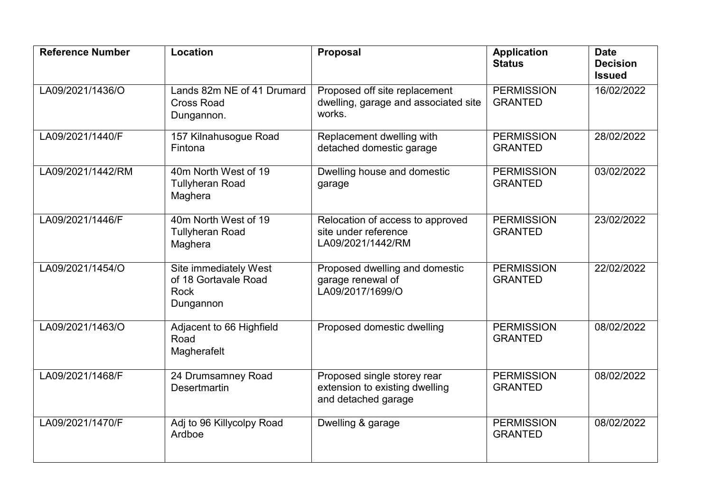| <b>Reference Number</b> | <b>Location</b>                                                           | <b>Proposal</b>                                                                      | <b>Application</b><br><b>Status</b> | <b>Date</b><br><b>Decision</b><br><b>Issued</b> |
|-------------------------|---------------------------------------------------------------------------|--------------------------------------------------------------------------------------|-------------------------------------|-------------------------------------------------|
| LA09/2021/1436/O        | Lands 82m NE of 41 Drumard<br><b>Cross Road</b><br>Dungannon.             | Proposed off site replacement<br>dwelling, garage and associated site<br>works.      | <b>PERMISSION</b><br><b>GRANTED</b> | 16/02/2022                                      |
| LA09/2021/1440/F        | 157 Kilnahusogue Road<br>Fintona                                          | Replacement dwelling with<br>detached domestic garage                                | <b>PERMISSION</b><br><b>GRANTED</b> | 28/02/2022                                      |
| LA09/2021/1442/RM       | 40m North West of 19<br><b>Tullyheran Road</b><br>Maghera                 | Dwelling house and domestic<br>garage                                                | <b>PERMISSION</b><br><b>GRANTED</b> | 03/02/2022                                      |
| LA09/2021/1446/F        | 40m North West of 19<br><b>Tullyheran Road</b><br>Maghera                 | Relocation of access to approved<br>site under reference<br>LA09/2021/1442/RM        | <b>PERMISSION</b><br><b>GRANTED</b> | 23/02/2022                                      |
| LA09/2021/1454/O        | Site immediately West<br>of 18 Gortavale Road<br><b>Rock</b><br>Dungannon | Proposed dwelling and domestic<br>garage renewal of<br>LA09/2017/1699/O              | <b>PERMISSION</b><br><b>GRANTED</b> | 22/02/2022                                      |
| LA09/2021/1463/O        | Adjacent to 66 Highfield<br>Road<br>Magherafelt                           | Proposed domestic dwelling                                                           | <b>PERMISSION</b><br><b>GRANTED</b> | 08/02/2022                                      |
| LA09/2021/1468/F        | 24 Drumsamney Road<br><b>Desertmartin</b>                                 | Proposed single storey rear<br>extension to existing dwelling<br>and detached garage | <b>PERMISSION</b><br><b>GRANTED</b> | 08/02/2022                                      |
| LA09/2021/1470/F        | Adj to 96 Killycolpy Road<br>Ardboe                                       | Dwelling & garage                                                                    | <b>PERMISSION</b><br><b>GRANTED</b> | 08/02/2022                                      |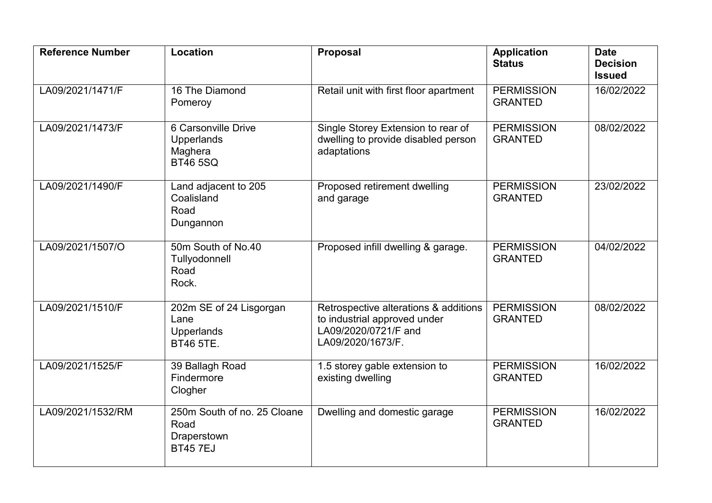| <b>Reference Number</b> | Location                                                                 | Proposal                                                                                                           | <b>Application</b><br><b>Status</b> | <b>Date</b><br><b>Decision</b><br><b>Issued</b> |
|-------------------------|--------------------------------------------------------------------------|--------------------------------------------------------------------------------------------------------------------|-------------------------------------|-------------------------------------------------|
| LA09/2021/1471/F        | 16 The Diamond<br>Pomeroy                                                | Retail unit with first floor apartment                                                                             | <b>PERMISSION</b><br><b>GRANTED</b> | 16/02/2022                                      |
| LA09/2021/1473/F        | 6 Carsonville Drive<br><b>Upperlands</b><br>Maghera<br><b>BT46 5SQ</b>   | Single Storey Extension to rear of<br>dwelling to provide disabled person<br>adaptations                           | <b>PERMISSION</b><br><b>GRANTED</b> | 08/02/2022                                      |
| LA09/2021/1490/F        | Land adjacent to 205<br>Coalisland<br>Road<br>Dungannon                  | Proposed retirement dwelling<br>and garage                                                                         | <b>PERMISSION</b><br><b>GRANTED</b> | 23/02/2022                                      |
| LA09/2021/1507/O        | 50m South of No.40<br>Tullyodonnell<br>Road<br>Rock.                     | Proposed infill dwelling & garage.                                                                                 | <b>PERMISSION</b><br><b>GRANTED</b> | 04/02/2022                                      |
| LA09/2021/1510/F        | 202m SE of 24 Lisgorgan<br>Lane<br><b>Upperlands</b><br><b>BT46 5TE.</b> | Retrospective alterations & additions<br>to industrial approved under<br>LA09/2020/0721/F and<br>LA09/2020/1673/F. | <b>PERMISSION</b><br><b>GRANTED</b> | 08/02/2022                                      |
| LA09/2021/1525/F        | 39 Ballagh Road<br>Findermore<br>Clogher                                 | 1.5 storey gable extension to<br>existing dwelling                                                                 | <b>PERMISSION</b><br><b>GRANTED</b> | 16/02/2022                                      |
| LA09/2021/1532/RM       | 250m South of no. 25 Cloane<br>Road<br>Draperstown<br><b>BT457EJ</b>     | Dwelling and domestic garage                                                                                       | <b>PERMISSION</b><br><b>GRANTED</b> | 16/02/2022                                      |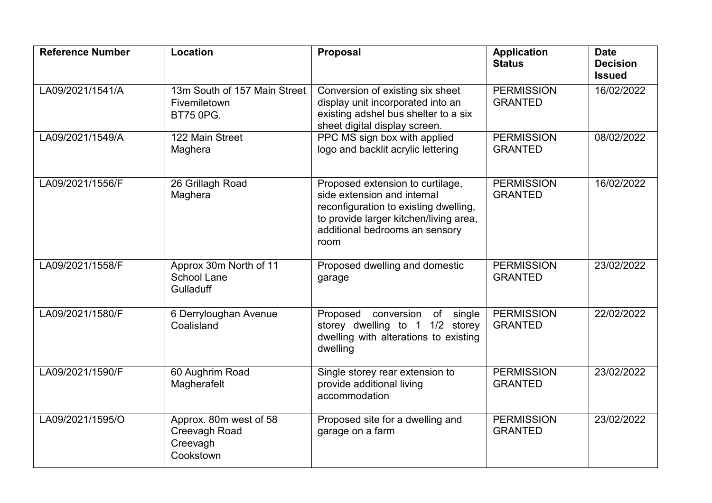| <b>Reference Number</b> | <b>Location</b>                                                         | <b>Proposal</b>                                                                                                                                                                              | <b>Application</b><br><b>Status</b> | <b>Date</b><br><b>Decision</b><br><b>Issued</b> |
|-------------------------|-------------------------------------------------------------------------|----------------------------------------------------------------------------------------------------------------------------------------------------------------------------------------------|-------------------------------------|-------------------------------------------------|
| LA09/2021/1541/A        | 13m South of 157 Main Street<br><b>Fivemiletown</b><br><b>BT75 0PG.</b> | Conversion of existing six sheet<br>display unit incorporated into an<br>existing adshel bus shelter to a six<br>sheet digital display screen.                                               | <b>PERMISSION</b><br><b>GRANTED</b> | 16/02/2022                                      |
| LA09/2021/1549/A        | 122 Main Street<br>Maghera                                              | PPC MS sign box with applied<br>logo and backlit acrylic lettering                                                                                                                           | <b>PERMISSION</b><br><b>GRANTED</b> | 08/02/2022                                      |
| LA09/2021/1556/F        | 26 Grillagh Road<br>Maghera                                             | Proposed extension to curtilage,<br>side extension and internal<br>reconfiguration to existing dwelling,<br>to provide larger kitchen/living area,<br>additional bedrooms an sensory<br>room | <b>PERMISSION</b><br><b>GRANTED</b> | 16/02/2022                                      |
| LA09/2021/1558/F        | Approx 30m North of 11<br><b>School Lane</b><br>Gulladuff               | Proposed dwelling and domestic<br>garage                                                                                                                                                     | <b>PERMISSION</b><br><b>GRANTED</b> | 23/02/2022                                      |
| LA09/2021/1580/F        | 6 Derryloughan Avenue<br>Coalisland                                     | Proposed conversion of single<br>storey dwelling to 1 1/2 storey<br>dwelling with alterations to existing<br>dwelling                                                                        | <b>PERMISSION</b><br><b>GRANTED</b> | 22/02/2022                                      |
| LA09/2021/1590/F        | 60 Aughrim Road<br>Magherafelt                                          | Single storey rear extension to<br>provide additional living<br>accommodation                                                                                                                | <b>PERMISSION</b><br><b>GRANTED</b> | 23/02/2022                                      |
| LA09/2021/1595/O        | Approx. 80m west of 58<br>Creevagh Road<br>Creevagh<br>Cookstown        | Proposed site for a dwelling and<br>garage on a farm                                                                                                                                         | <b>PERMISSION</b><br><b>GRANTED</b> | 23/02/2022                                      |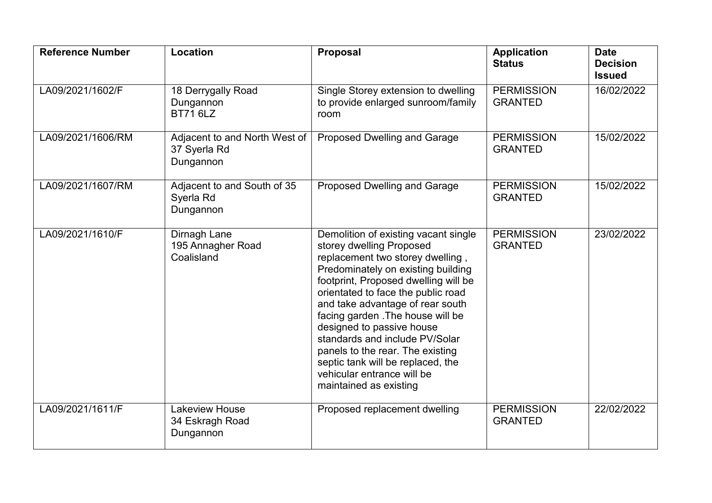| <b>Reference Number</b> | Location                                                   | <b>Proposal</b>                                                                                                                                                                                                                                                                                                                                                                                                                                                                                   | <b>Application</b><br><b>Status</b> | <b>Date</b><br><b>Decision</b><br><b>Issued</b> |
|-------------------------|------------------------------------------------------------|---------------------------------------------------------------------------------------------------------------------------------------------------------------------------------------------------------------------------------------------------------------------------------------------------------------------------------------------------------------------------------------------------------------------------------------------------------------------------------------------------|-------------------------------------|-------------------------------------------------|
| LA09/2021/1602/F        | 18 Derrygally Road<br>Dungannon<br><b>BT71 6LZ</b>         | Single Storey extension to dwelling<br>to provide enlarged sunroom/family<br>room                                                                                                                                                                                                                                                                                                                                                                                                                 | <b>PERMISSION</b><br><b>GRANTED</b> | 16/02/2022                                      |
| LA09/2021/1606/RM       | Adjacent to and North West of<br>37 Syerla Rd<br>Dungannon | Proposed Dwelling and Garage                                                                                                                                                                                                                                                                                                                                                                                                                                                                      | <b>PERMISSION</b><br><b>GRANTED</b> | 15/02/2022                                      |
| LA09/2021/1607/RM       | Adjacent to and South of 35<br>Syerla Rd<br>Dungannon      | <b>Proposed Dwelling and Garage</b>                                                                                                                                                                                                                                                                                                                                                                                                                                                               | <b>PERMISSION</b><br><b>GRANTED</b> | 15/02/2022                                      |
| LA09/2021/1610/F        | Dirnagh Lane<br>195 Annagher Road<br>Coalisland            | Demolition of existing vacant single<br>storey dwelling Proposed<br>replacement two storey dwelling,<br>Predominately on existing building<br>footprint, Proposed dwelling will be<br>orientated to face the public road<br>and take advantage of rear south<br>facing garden . The house will be<br>designed to passive house<br>standards and include PV/Solar<br>panels to the rear. The existing<br>septic tank will be replaced, the<br>vehicular entrance will be<br>maintained as existing | <b>PERMISSION</b><br><b>GRANTED</b> | 23/02/2022                                      |
| LA09/2021/1611/F        | Lakeview House<br>34 Eskragh Road<br>Dungannon             | Proposed replacement dwelling                                                                                                                                                                                                                                                                                                                                                                                                                                                                     | <b>PERMISSION</b><br><b>GRANTED</b> | 22/02/2022                                      |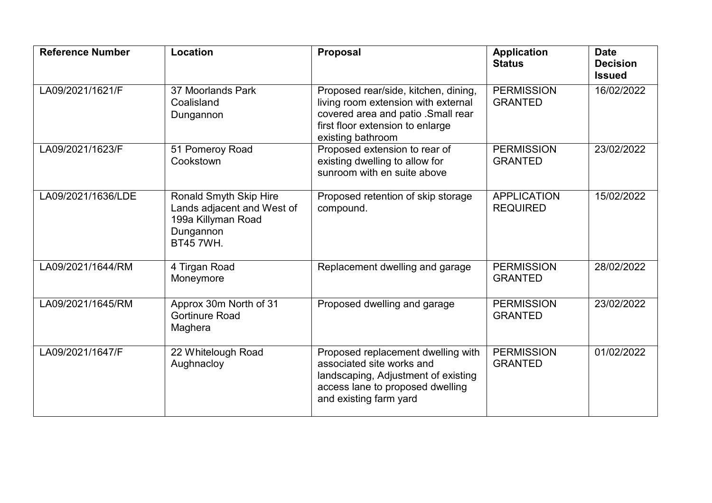| <b>Reference Number</b> | Location                                                                                                    | <b>Proposal</b>                                                                                                                                                            | <b>Application</b><br><b>Status</b>   | <b>Date</b><br><b>Decision</b><br><b>Issued</b> |
|-------------------------|-------------------------------------------------------------------------------------------------------------|----------------------------------------------------------------------------------------------------------------------------------------------------------------------------|---------------------------------------|-------------------------------------------------|
| LA09/2021/1621/F        | 37 Moorlands Park<br>Coalisland<br>Dungannon                                                                | Proposed rear/side, kitchen, dining,<br>living room extension with external<br>covered area and patio .Small rear<br>first floor extension to enlarge<br>existing bathroom | <b>PERMISSION</b><br><b>GRANTED</b>   | 16/02/2022                                      |
| LA09/2021/1623/F        | 51 Pomeroy Road<br>Cookstown                                                                                | Proposed extension to rear of<br>existing dwelling to allow for<br>sunroom with en suite above                                                                             | <b>PERMISSION</b><br><b>GRANTED</b>   | 23/02/2022                                      |
| LA09/2021/1636/LDE      | Ronald Smyth Skip Hire<br>Lands adjacent and West of<br>199a Killyman Road<br>Dungannon<br><b>BT45 7WH.</b> | Proposed retention of skip storage<br>compound.                                                                                                                            | <b>APPLICATION</b><br><b>REQUIRED</b> | 15/02/2022                                      |
| LA09/2021/1644/RM       | 4 Tirgan Road<br>Moneymore                                                                                  | Replacement dwelling and garage                                                                                                                                            | <b>PERMISSION</b><br><b>GRANTED</b>   | 28/02/2022                                      |
| LA09/2021/1645/RM       | Approx 30m North of 31<br><b>Gortinure Road</b><br>Maghera                                                  | Proposed dwelling and garage                                                                                                                                               | <b>PERMISSION</b><br><b>GRANTED</b>   | 23/02/2022                                      |
| LA09/2021/1647/F        | 22 Whitelough Road<br>Aughnacloy                                                                            | Proposed replacement dwelling with<br>associated site works and<br>landscaping, Adjustment of existing<br>access lane to proposed dwelling<br>and existing farm yard       | <b>PERMISSION</b><br><b>GRANTED</b>   | 01/02/2022                                      |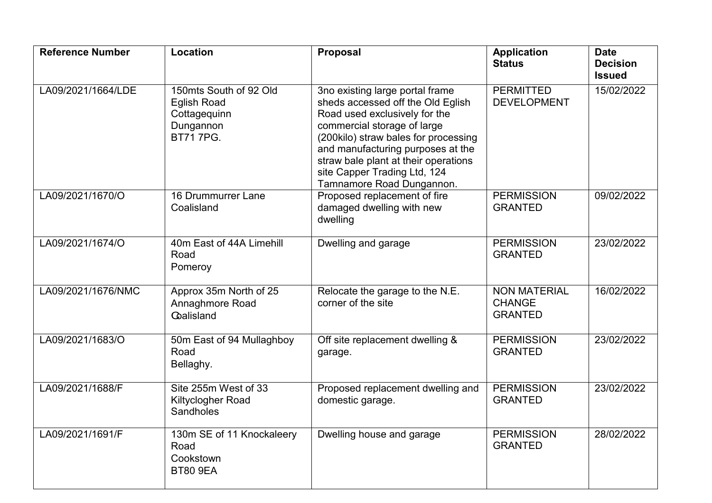| <b>Reference Number</b> | Location                                                                                     | <b>Proposal</b>                                                                                                                                                                                                                                                                                                        | <b>Application</b><br><b>Status</b>                    | <b>Date</b><br><b>Decision</b><br><b>Issued</b> |
|-------------------------|----------------------------------------------------------------------------------------------|------------------------------------------------------------------------------------------------------------------------------------------------------------------------------------------------------------------------------------------------------------------------------------------------------------------------|--------------------------------------------------------|-------------------------------------------------|
| LA09/2021/1664/LDE      | 150mts South of 92 Old<br><b>Eglish Road</b><br>Cottagequinn<br>Dungannon<br><b>BT717PG.</b> | 3no existing large portal frame<br>sheds accessed off the Old Eglish<br>Road used exclusively for the<br>commercial storage of large<br>(200kilo) straw bales for processing<br>and manufacturing purposes at the<br>straw bale plant at their operations<br>site Capper Trading Ltd, 124<br>Tamnamore Road Dungannon. | <b>PERMITTED</b><br><b>DEVELOPMENT</b>                 | 15/02/2022                                      |
| LA09/2021/1670/O        | 16 Drummurrer Lane<br>Coalisland                                                             | Proposed replacement of fire<br>damaged dwelling with new<br>dwelling                                                                                                                                                                                                                                                  | <b>PERMISSION</b><br><b>GRANTED</b>                    | 09/02/2022                                      |
| LA09/2021/1674/O        | 40m East of 44A Limehill<br>Road<br>Pomeroy                                                  | Dwelling and garage                                                                                                                                                                                                                                                                                                    | <b>PERMISSION</b><br><b>GRANTED</b>                    | 23/02/2022                                      |
| LA09/2021/1676/NMC      | Approx 35m North of 25<br>Annaghmore Road<br><b>Calisland</b>                                | Relocate the garage to the N.E.<br>corner of the site                                                                                                                                                                                                                                                                  | <b>NON MATERIAL</b><br><b>CHANGE</b><br><b>GRANTED</b> | 16/02/2022                                      |
| LA09/2021/1683/O        | 50m East of 94 Mullaghboy<br>Road<br>Bellaghy.                                               | Off site replacement dwelling &<br>garage.                                                                                                                                                                                                                                                                             | <b>PERMISSION</b><br><b>GRANTED</b>                    | 23/02/2022                                      |
| LA09/2021/1688/F        | Site 255m West of 33<br>Kiltyclogher Road<br>Sandholes                                       | Proposed replacement dwelling and<br>domestic garage.                                                                                                                                                                                                                                                                  | <b>PERMISSION</b><br><b>GRANTED</b>                    | 23/02/2022                                      |
| LA09/2021/1691/F        | 130m SE of 11 Knockaleery<br>Road<br>Cookstown<br><b>BT80 9EA</b>                            | Dwelling house and garage                                                                                                                                                                                                                                                                                              | <b>PERMISSION</b><br><b>GRANTED</b>                    | 28/02/2022                                      |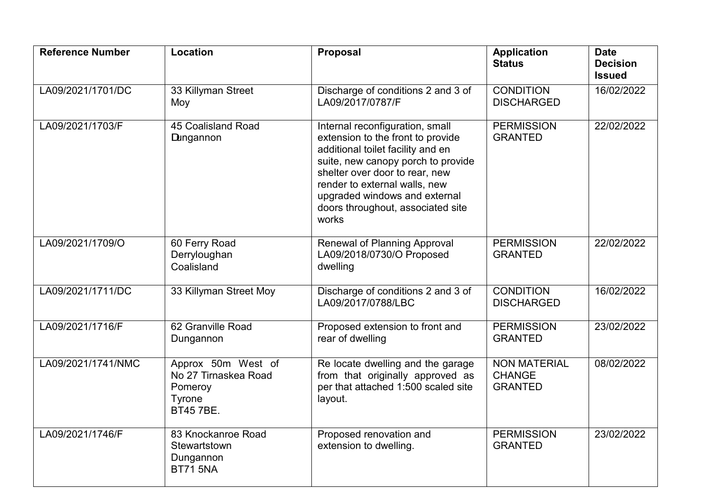| <b>Reference Number</b> | Location                                                                            | <b>Proposal</b>                                                                                                                                                                                                                                                                                   | <b>Application</b><br><b>Status</b>                    | <b>Date</b><br><b>Decision</b><br><b>Issued</b> |
|-------------------------|-------------------------------------------------------------------------------------|---------------------------------------------------------------------------------------------------------------------------------------------------------------------------------------------------------------------------------------------------------------------------------------------------|--------------------------------------------------------|-------------------------------------------------|
| LA09/2021/1701/DC       | 33 Killyman Street<br>Moy                                                           | Discharge of conditions 2 and 3 of<br>LA09/2017/0787/F                                                                                                                                                                                                                                            | <b>CONDITION</b><br><b>DISCHARGED</b>                  | 16/02/2022                                      |
| LA09/2021/1703/F        | 45 Coalisland Road<br><b>Dungannon</b>                                              | Internal reconfiguration, small<br>extension to the front to provide<br>additional toilet facility and en<br>suite, new canopy porch to provide<br>shelter over door to rear, new<br>render to external walls, new<br>upgraded windows and external<br>doors throughout, associated site<br>works | <b>PERMISSION</b><br><b>GRANTED</b>                    | 22/02/2022                                      |
| LA09/2021/1709/O        | 60 Ferry Road<br>Derryloughan<br>Coalisland                                         | <b>Renewal of Planning Approval</b><br>LA09/2018/0730/O Proposed<br>dwelling                                                                                                                                                                                                                      | <b>PERMISSION</b><br><b>GRANTED</b>                    | 22/02/2022                                      |
| LA09/2021/1711/DC       | 33 Killyman Street Moy                                                              | Discharge of conditions 2 and 3 of<br>LA09/2017/0788/LBC                                                                                                                                                                                                                                          | <b>CONDITION</b><br><b>DISCHARGED</b>                  | 16/02/2022                                      |
| LA09/2021/1716/F        | 62 Granville Road<br>Dungannon                                                      | Proposed extension to front and<br>rear of dwelling                                                                                                                                                                                                                                               | <b>PERMISSION</b><br><b>GRANTED</b>                    | 23/02/2022                                      |
| LA09/2021/1741/NMC      | Approx 50m West of<br>No 27 Tirnaskea Road<br>Pomeroy<br>Tyrone<br><b>BT45 7BE.</b> | Re locate dwelling and the garage<br>from that originally approved as<br>per that attached 1:500 scaled site<br>layout.                                                                                                                                                                           | <b>NON MATERIAL</b><br><b>CHANGE</b><br><b>GRANTED</b> | 08/02/2022                                      |
| LA09/2021/1746/F        | 83 Knockanroe Road<br>Stewartstown<br>Dungannon<br><b>BT71 5NA</b>                  | Proposed renovation and<br>extension to dwelling.                                                                                                                                                                                                                                                 | <b>PERMISSION</b><br><b>GRANTED</b>                    | 23/02/2022                                      |